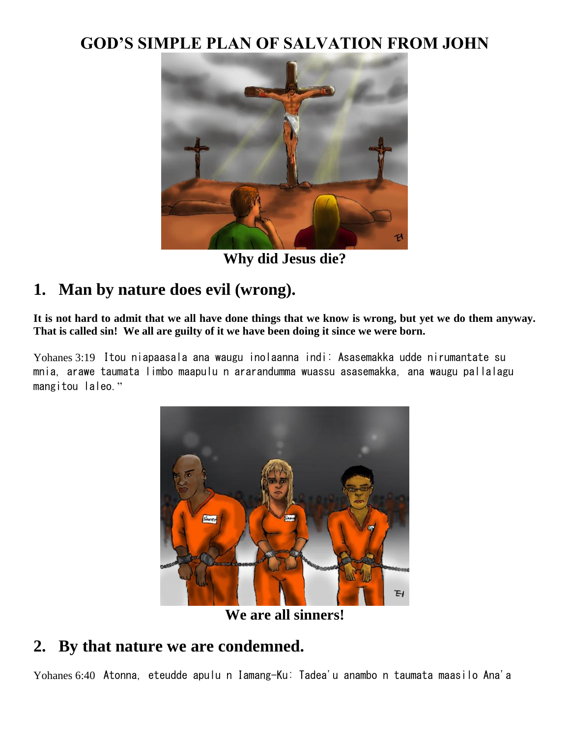### **GOD'S SIMPLE PLAN OF SALVATION FROM JOHN**



**Why did Jesus die?**

# **1. Man by nature does evil (wrong).**

**It is not hard to admit that we all have done things that we know is wrong, but yet we do them anyway. That is called sin! We all are guilty of it we have been doing it since we were born.**

Yohanes 3:19 Itou niapaasala ana waugu inolaanna indi: Asasemakka udde nirumantate su mnia, arawe taumata limbo maapulu n ararandumma wuassu asasemakka, ana waugu pallalagu mangitou laleo."



**We are all sinners!**

#### **2. By that nature we are condemned.**

Yohanes 6:40 Atonna, eteudde apulu n Iamang-Ku: Tadea'u anambo n taumata maasilo Ana'a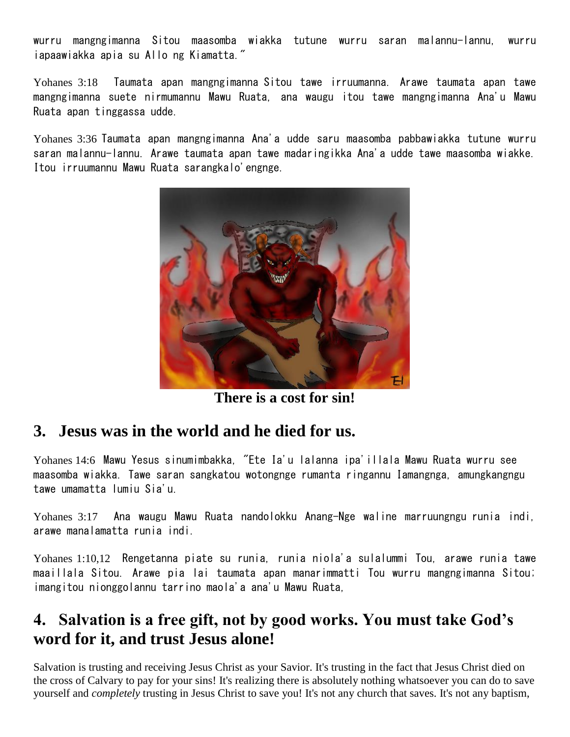wurru mangngimanna Sitou maasomba wiakka tutune wurru saran malannu-lannu, wurru iapaawiakka apia su Allo ng Kiamatta."

Yohanes 3:18 Taumata apan mangngimanna Sitou tawe irruumanna. Arawe taumata apan tawe mangngimanna suete nirmumannu Mawu Ruata, ana waugu itou tawe mangngimanna Ana'u Mawu Ruata apan tinggassa udde.

Yohanes 3:36 Taumata apan mangngimanna Ana'a udde saru maasomba pabbawiakka tutune wurru saran malannu-lannu. Arawe taumata apan tawe madaringikka Ana'a udde tawe maasomba wiakke. Itou irruumannu Mawu Ruata sarangkalo'engnge.



**There is a cost for sin!**

# **3. Jesus was in the world and he died for us.**

Yohanes 14:6 Mawu Yesus sinumimbakka, "Ete Ia'u lalanna ipa'illala Mawu Ruata wurru see maasomba wiakka. Tawe saran sangkatou wotongnge rumanta ringannu Iamangnga, amungkangngu tawe umamatta lumiu Sia'u.

Yohanes 3:17 Ana waugu Mawu Ruata nandolokku Anang-Nge waline marruungngu runia indi, arawe manalamatta runia indi.

Yohanes 1:10,12 Rengetanna piate su runia, runia niola'a sulalummi Tou, arawe runia tawe maaillala Sitou. Arawe pia lai taumata apan manarimmatti Tou wurru mangngimanna Sitou; imangitou nionggolannu tarrino maola'a ana'u Mawu Ruata,

### **4. Salvation is a free gift, not by good works. You must take God's word for it, and trust Jesus alone!**

Salvation is trusting and receiving Jesus Christ as your Savior. It's trusting in the fact that Jesus Christ died on the cross of Calvary to pay for your sins! It's realizing there is absolutely nothing whatsoever you can do to save yourself and *completely* trusting in Jesus Christ to save you! It's not any church that saves. It's not any baptism,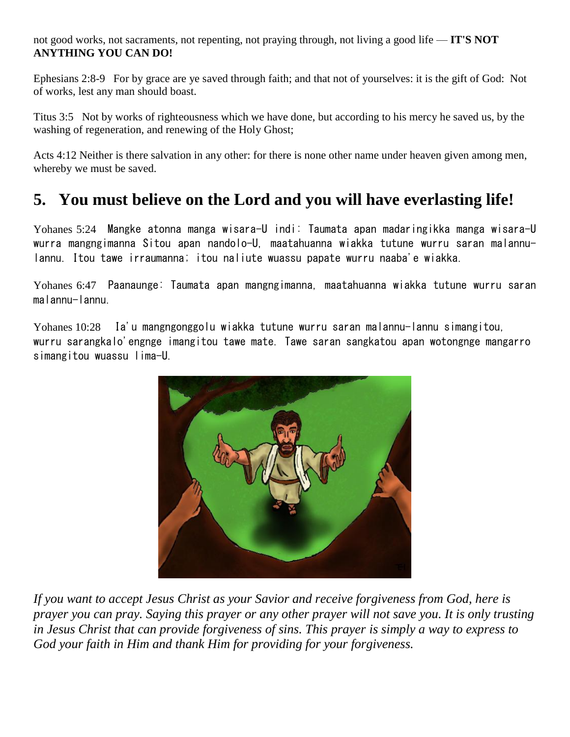not good works, not sacraments, not repenting, not praying through, not living a good life — **IT'S NOT ANYTHING YOU CAN DO!**

Ephesians 2:8-9 For by grace are ye saved through faith; and that not of yourselves: it is the gift of God: Not of works, lest any man should boast.

Titus 3:5 Not by works of righteousness which we have done, but according to his mercy he saved us, by the washing of regeneration, and renewing of the Holy Ghost;

Acts 4:12 Neither is there salvation in any other: for there is none other name under heaven given among men, whereby we must be saved.

# **5. You must believe on the Lord and you will have everlasting life!**

Yohanes 5:24 Mangke atonna manga wisara-U indi: Taumata apan madaringikka manga wisara-U wurra mangngimanna Sitou apan nandolo-U, maatahuanna wiakka tutune wurru saran malannulannu. Itou tawe irraumanna; itou naliute wuassu papate wurru naaba'e wiakka.

Yohanes 6:47 Paanaunge: Taumata apan mangngimanna, maatahuanna wiakka tutune wurru saran malannu-lannu.

Yohanes 10:28 Ia'u mangngonggolu wiakka tutune wurru saran malannu-lannu simangitou, wurru sarangkalo'engnge imangitou tawe mate. Tawe saran sangkatou apan wotongnge mangarro simangitou wuassu lima-U.



*If you want to accept Jesus Christ as your Savior and receive forgiveness from God, here is prayer you can pray. Saying this prayer or any other prayer will not save you. It is only trusting in Jesus Christ that can provide forgiveness of sins. This prayer is simply a way to express to God your faith in Him and thank Him for providing for your forgiveness.*